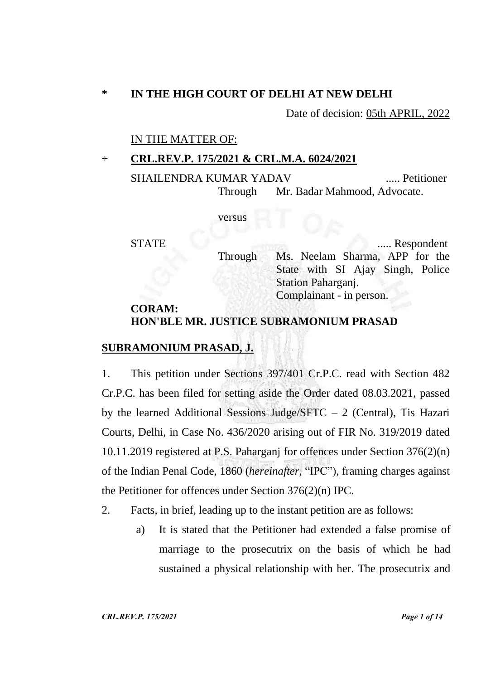# **\* IN THE HIGH COURT OF DELHI AT NEW DELHI**

Date of decision: 05th APRIL, 2022

### IN THE MATTER OF:

#### + **CRL.REV.P. 175/2021 & CRL.M.A. 6024/2021**

SHAILENDRA KUMAR YADAV ..... Petitioner Through Mr. Badar Mahmood, Advocate.

versus

STATE ..... Respondent Through Ms. Neelam Sharma, APP for the State with SI Ajay Singh, Police Station Paharganj. Complainant - in person.

## **CORAM: HON'BLE MR. JUSTICE SUBRAMONIUM PRASAD**

## **SUBRAMONIUM PRASAD, J.**

1. This petition under Sections 397/401 Cr.P.C. read with Section 482 Cr.P.C. has been filed for setting aside the Order dated 08.03.2021, passed by the learned Additional Sessions Judge/SFTC  $-2$  (Central), Tis Hazari Courts, Delhi, in Case No. 436/2020 arising out of FIR No. 319/2019 dated 10.11.2019 registered at P.S. Paharganj for offences under Section 376(2)(n) of the Indian Penal Code, 1860 (*hereinafter,* "IPC"), framing charges against the Petitioner for offences under Section 376(2)(n) IPC.

- 2. Facts, in brief, leading up to the instant petition are as follows:
	- a) It is stated that the Petitioner had extended a false promise of marriage to the prosecutrix on the basis of which he had sustained a physical relationship with her. The prosecutrix and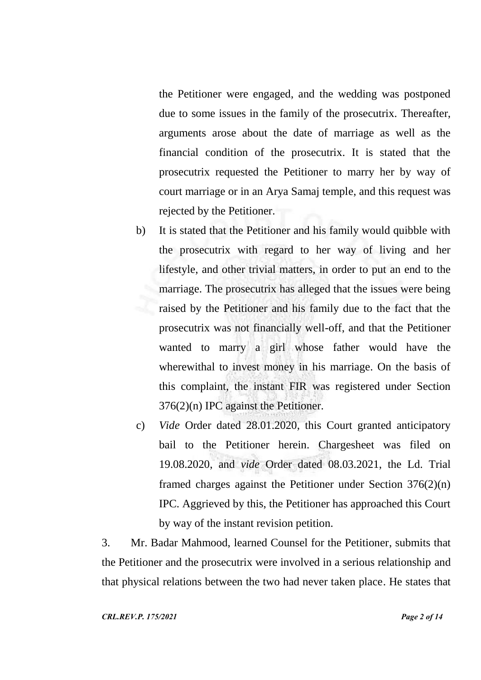the Petitioner were engaged, and the wedding was postponed due to some issues in the family of the prosecutrix. Thereafter, arguments arose about the date of marriage as well as the financial condition of the prosecutrix. It is stated that the prosecutrix requested the Petitioner to marry her by way of court marriage or in an Arya Samaj temple, and this request was rejected by the Petitioner.

- b) It is stated that the Petitioner and his family would quibble with the prosecutrix with regard to her way of living and her lifestyle, and other trivial matters, in order to put an end to the marriage. The prosecutrix has alleged that the issues were being raised by the Petitioner and his family due to the fact that the prosecutrix was not financially well-off, and that the Petitioner wanted to marry a girl whose father would have the wherewithal to invest money in his marriage. On the basis of this complaint, the instant FIR was registered under Section 376(2)(n) IPC against the Petitioner.
- c) *Vide* Order dated 28.01.2020, this Court granted anticipatory bail to the Petitioner herein. Chargesheet was filed on 19.08.2020, and *vide* Order dated 08.03.2021, the Ld. Trial framed charges against the Petitioner under Section 376(2)(n) IPC. Aggrieved by this, the Petitioner has approached this Court by way of the instant revision petition.

3. Mr. Badar Mahmood, learned Counsel for the Petitioner, submits that the Petitioner and the prosecutrix were involved in a serious relationship and that physical relations between the two had never taken place. He states that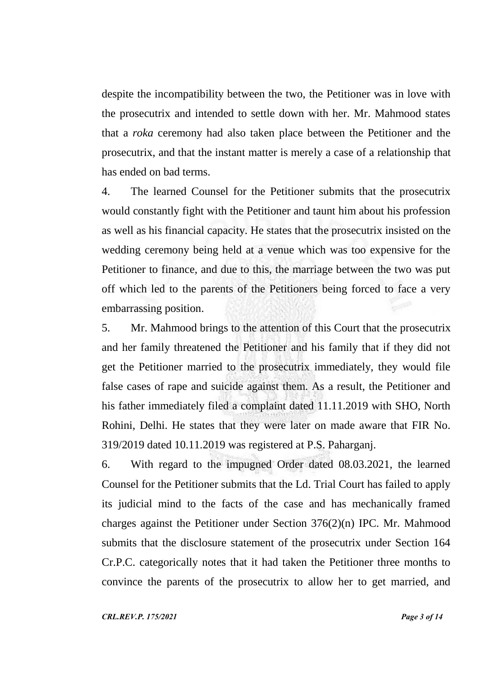despite the incompatibility between the two, the Petitioner was in love with the prosecutrix and intended to settle down with her. Mr. Mahmood states that a *roka* ceremony had also taken place between the Petitioner and the prosecutrix, and that the instant matter is merely a case of a relationship that has ended on bad terms.

4. The learned Counsel for the Petitioner submits that the prosecutrix would constantly fight with the Petitioner and taunt him about his profession as well as his financial capacity. He states that the prosecutrix insisted on the wedding ceremony being held at a venue which was too expensive for the Petitioner to finance, and due to this, the marriage between the two was put off which led to the parents of the Petitioners being forced to face a very embarrassing position.

5. Mr. Mahmood brings to the attention of this Court that the prosecutrix and her family threatened the Petitioner and his family that if they did not get the Petitioner married to the prosecutrix immediately, they would file false cases of rape and suicide against them. As a result, the Petitioner and his father immediately filed a complaint dated 11.11.2019 with SHO, North Rohini, Delhi. He states that they were later on made aware that FIR No. 319/2019 dated 10.11.2019 was registered at P.S. Paharganj.

6. With regard to the impugned Order dated 08.03.2021, the learned Counsel for the Petitioner submits that the Ld. Trial Court has failed to apply its judicial mind to the facts of the case and has mechanically framed charges against the Petitioner under Section 376(2)(n) IPC. Mr. Mahmood submits that the disclosure statement of the prosecutrix under Section 164 Cr.P.C. categorically notes that it had taken the Petitioner three months to convince the parents of the prosecutrix to allow her to get married, and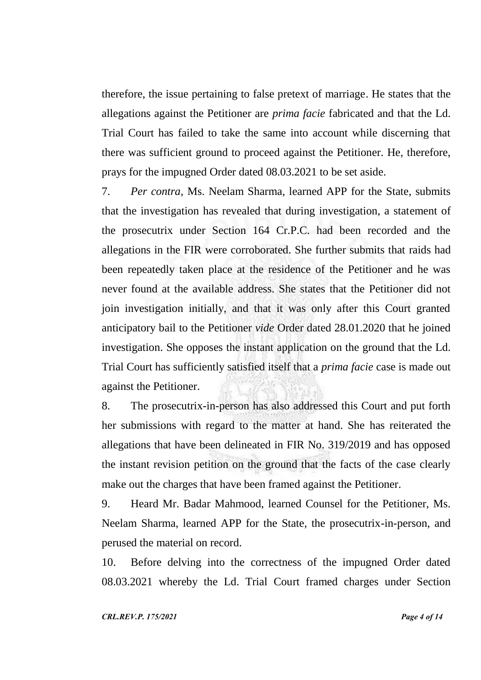therefore, the issue pertaining to false pretext of marriage. He states that the allegations against the Petitioner are *prima facie* fabricated and that the Ld. Trial Court has failed to take the same into account while discerning that there was sufficient ground to proceed against the Petitioner. He, therefore, prays for the impugned Order dated 08.03.2021 to be set aside.

7. *Per contra*, Ms. Neelam Sharma, learned APP for the State, submits that the investigation has revealed that during investigation, a statement of the prosecutrix under Section 164 Cr.P.C. had been recorded and the allegations in the FIR were corroborated. She further submits that raids had been repeatedly taken place at the residence of the Petitioner and he was never found at the available address. She states that the Petitioner did not join investigation initially, and that it was only after this Court granted anticipatory bail to the Petitioner *vide* Order dated 28.01.2020 that he joined investigation. She opposes the instant application on the ground that the Ld. Trial Court has sufficiently satisfied itself that a *prima facie* case is made out against the Petitioner.

8. The prosecutrix-in-person has also addressed this Court and put forth her submissions with regard to the matter at hand. She has reiterated the allegations that have been delineated in FIR No. 319/2019 and has opposed the instant revision petition on the ground that the facts of the case clearly make out the charges that have been framed against the Petitioner.

9. Heard Mr. Badar Mahmood, learned Counsel for the Petitioner, Ms. Neelam Sharma, learned APP for the State, the prosecutrix-in-person, and perused the material on record.

10. Before delving into the correctness of the impugned Order dated 08.03.2021 whereby the Ld. Trial Court framed charges under Section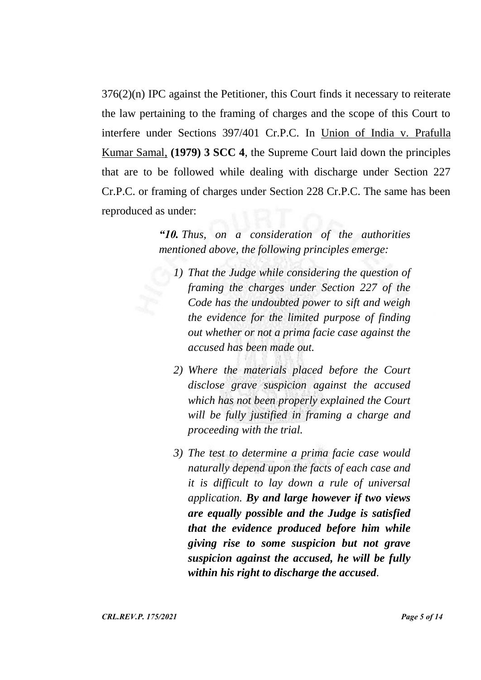376(2)(n) IPC against the Petitioner, this Court finds it necessary to reiterate the law pertaining to the framing of charges and the scope of this Court to interfere under Sections 397/401 Cr.P.C. In Union of India v. Prafulla Kumar Samal, **(1979) 3 SCC 4**, the Supreme Court laid down the principles that are to be followed while dealing with discharge under Section 227 Cr.P.C. or framing of charges under Section 228 Cr.P.C. The same has been reproduced as under:

> *"10. Thus, on a consideration of the authorities mentioned above, the following principles emerge:*

- *1) That the Judge while considering the question of framing the charges under Section 227 of the Code has the undoubted power to sift and weigh the evidence for the limited purpose of finding out whether or not a prima facie case against the accused has been made out.*
- *2) Where the materials placed before the Court disclose grave suspicion against the accused which has not been properly explained the Court will be fully justified in framing a charge and proceeding with the trial.*
- *3) The test to determine a prima facie case would naturally depend upon the facts of each case and it is difficult to lay down a rule of universal application. By and large however if two views are equally possible and the Judge is satisfied that the evidence produced before him while giving rise to some suspicion but not grave suspicion against the accused, he will be fully within his right to discharge the accused.*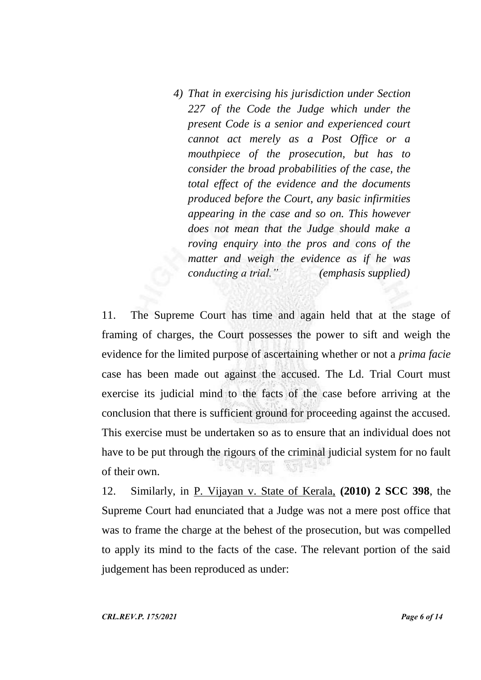*4) That in exercising his jurisdiction under Section 227 of the Code the Judge which under the present Code is a senior and experienced court cannot act merely as a Post Office or a mouthpiece of the prosecution, but has to consider the broad probabilities of the case, the total effect of the evidence and the documents produced before the Court, any basic infirmities appearing in the case and so on. This however does not mean that the Judge should make a roving enquiry into the pros and cons of the matter and weigh the evidence as if he was conducting a trial." (emphasis supplied)*

11. The Supreme Court has time and again held that at the stage of framing of charges, the Court possesses the power to sift and weigh the evidence for the limited purpose of ascertaining whether or not a *prima facie*  case has been made out against the accused. The Ld. Trial Court must exercise its judicial mind to the facts of the case before arriving at the conclusion that there is sufficient ground for proceeding against the accused. This exercise must be undertaken so as to ensure that an individual does not have to be put through the rigours of the criminal judicial system for no fault  $\mathbb{C}[\mathbb{C}]\subset\mathbb{C}$  $271$ of their own.

12. Similarly, in P. Vijayan v. State of Kerala, **(2010) 2 SCC 398**, the Supreme Court had enunciated that a Judge was not a mere post office that was to frame the charge at the behest of the prosecution, but was compelled to apply its mind to the facts of the case. The relevant portion of the said judgement has been reproduced as under: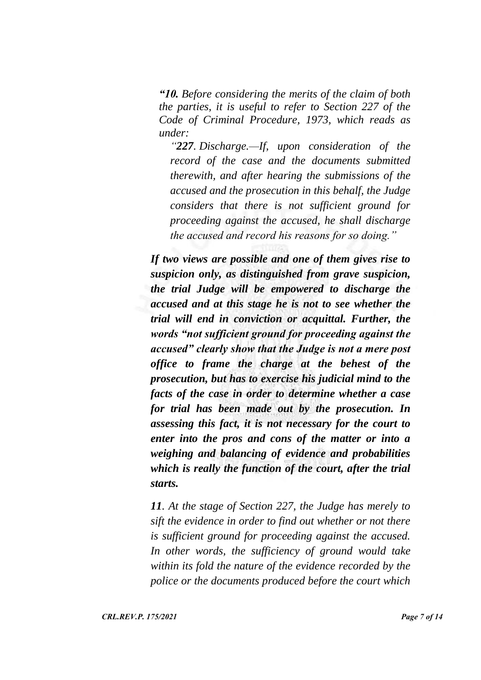*"10. Before considering the merits of the claim of both the parties, it is useful to refer to Section 227 of the Code of Criminal Procedure, 1973, which reads as under:*

*"227. Discharge.—If, upon consideration of the record of the case and the documents submitted therewith, and after hearing the submissions of the accused and the prosecution in this behalf, the Judge considers that there is not sufficient ground for proceeding against the accused, he shall discharge the accused and record his reasons for so doing."*

*If two views are possible and one of them gives rise to suspicion only, as distinguished from grave suspicion, the trial Judge will be empowered to discharge the accused and at this stage he is not to see whether the trial will end in conviction or acquittal. Further, the words "not sufficient ground for proceeding against the accused" clearly show that the Judge is not a mere post office to frame the charge at the behest of the prosecution, but has to exercise his judicial mind to the facts of the case in order to determine whether a case for trial has been made out by the prosecution. In assessing this fact, it is not necessary for the court to enter into the pros and cons of the matter or into a weighing and balancing of evidence and probabilities which is really the function of the court, after the trial starts.* 

*11. At the stage of Section 227, the Judge has merely to sift the evidence in order to find out whether or not there is sufficient ground for proceeding against the accused. In other words, the sufficiency of ground would take within its fold the nature of the evidence recorded by the police or the documents produced before the court which*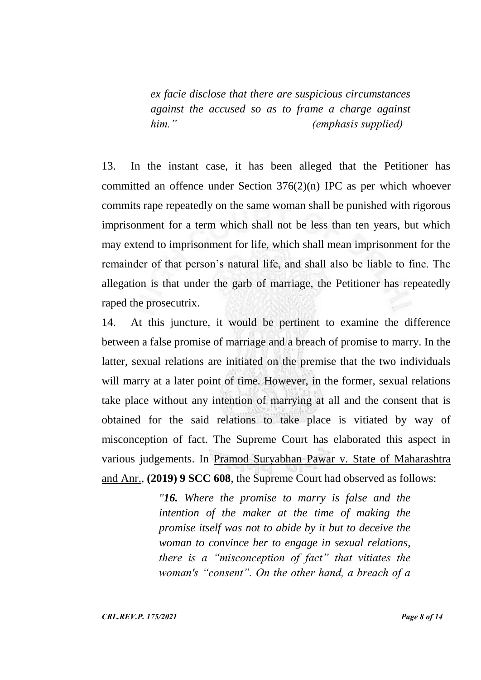*ex facie disclose that there are suspicious circumstances against the accused so as to frame a charge against him." (emphasis supplied)*

13. In the instant case, it has been alleged that the Petitioner has committed an offence under Section 376(2)(n) IPC as per which whoever commits rape repeatedly on the same woman shall be punished with rigorous imprisonment for a term which shall not be less than ten years, but which may extend to imprisonment for life, which shall mean imprisonment for the remainder of that person's natural life, and shall also be liable to fine. The allegation is that under the garb of marriage, the Petitioner has repeatedly raped the prosecutrix.

14. At this juncture, it would be pertinent to examine the difference between a false promise of marriage and a breach of promise to marry. In the latter, sexual relations are initiated on the premise that the two individuals will marry at a later point of time. However, in the former, sexual relations take place without any intention of marrying at all and the consent that is obtained for the said relations to take place is vitiated by way of misconception of fact. The Supreme Court has elaborated this aspect in various judgements. In Pramod Suryabhan Pawar v. State of Maharashtra and Anr., **(2019) 9 SCC 608**, the Supreme Court had observed as follows:

> *"16. Where the promise to marry is false and the intention of the maker at the time of making the promise itself was not to abide by it but to deceive the woman to convince her to engage in sexual relations, there is a "misconception of fact" that vitiates the woman's "consent". On the other hand, a breach of a*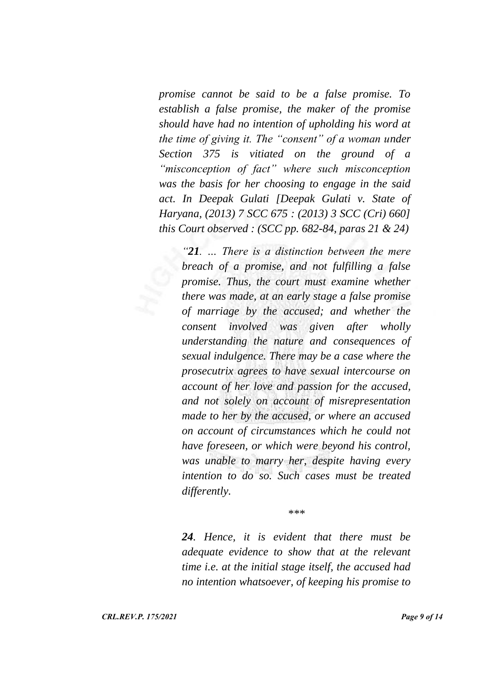*promise cannot be said to be a false promise. To establish a false promise, the maker of the promise should have had no intention of upholding his word at the time of giving it. The "consent" of a woman under Section 375 is vitiated on the ground of a "misconception of fact" where such misconception was the basis for her choosing to engage in the said act. In Deepak Gulati [Deepak Gulati v. State of Haryana, (2013) 7 SCC 675 : (2013) 3 SCC (Cri) 660] this Court observed : (SCC pp. 682-84, paras 21 & 24)*

*"21. … There is a distinction between the mere breach of a promise, and not fulfilling a false promise. Thus, the court must examine whether there was made, at an early stage a false promise of marriage by the accused; and whether the consent involved was given after wholly understanding the nature and consequences of sexual indulgence. There may be a case where the prosecutrix agrees to have sexual intercourse on account of her love and passion for the accused, and not solely on account of misrepresentation made to her by the accused, or where an accused on account of circumstances which he could not have foreseen, or which were beyond his control, was unable to marry her, despite having every intention to do so. Such cases must be treated differently.*

*\*\*\**

*24. Hence, it is evident that there must be adequate evidence to show that at the relevant time i.e. at the initial stage itself, the accused had no intention whatsoever, of keeping his promise to*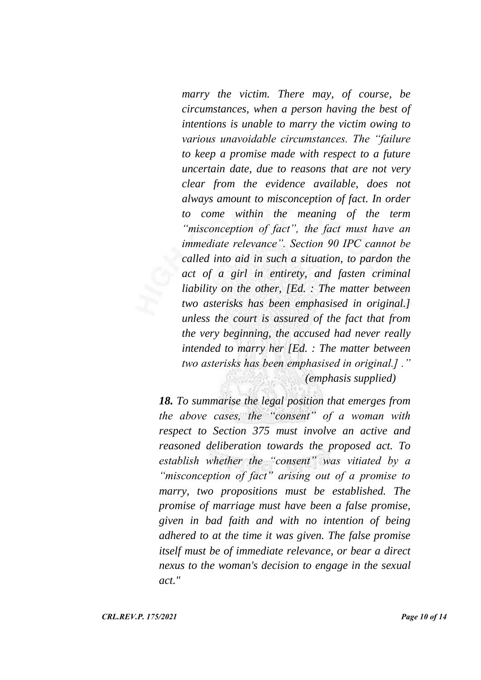*marry the victim. There may, of course, be circumstances, when a person having the best of intentions is unable to marry the victim owing to various unavoidable circumstances. The "failure to keep a promise made with respect to a future uncertain date, due to reasons that are not very clear from the evidence available, does not always amount to misconception of fact. In order to come within the meaning of the term "misconception of fact", the fact must have an immediate relevance". Section 90 IPC cannot be called into aid in such a situation, to pardon the act of a girl in entirety, and fasten criminal liability on the other, [Ed. : The matter between two asterisks has been emphasised in original.] unless the court is assured of the fact that from the very beginning, the accused had never really intended to marry her [Ed. : The matter between two asterisks has been emphasised in original.] ." (emphasis supplied)*

*18. To summarise the legal position that emerges from the above cases, the "consent" of a woman with respect to Section 375 must involve an active and reasoned deliberation towards the proposed act. To establish whether the "consent" was vitiated by a "misconception of fact" arising out of a promise to marry, two propositions must be established. The promise of marriage must have been a false promise, given in bad faith and with no intention of being adhered to at the time it was given. The false promise itself must be of immediate relevance, or bear a direct nexus to the woman's decision to engage in the sexual act."*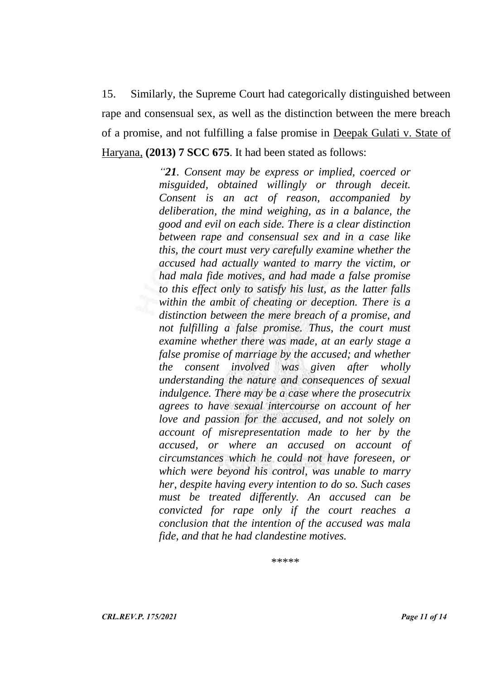15. Similarly, the Supreme Court had categorically distinguished between rape and consensual sex, as well as the distinction between the mere breach of a promise, and not fulfilling a false promise in Deepak Gulati v. State of Haryana, **(2013) 7 SCC 675**. It had been stated as follows:

> *"21. Consent may be express or implied, coerced or misguided, obtained willingly or through deceit. Consent is an act of reason, accompanied by deliberation, the mind weighing, as in a balance, the good and evil on each side. There is a clear distinction between rape and consensual sex and in a case like this, the court must very carefully examine whether the accused had actually wanted to marry the victim, or had mala fide motives, and had made a false promise to this effect only to satisfy his lust, as the latter falls within the ambit of cheating or deception. There is a distinction between the mere breach of a promise, and not fulfilling a false promise. Thus, the court must examine whether there was made, at an early stage a false promise of marriage by the accused; and whether the consent involved was given after wholly understanding the nature and consequences of sexual indulgence. There may be a case where the prosecutrix agrees to have sexual intercourse on account of her love and passion for the accused, and not solely on account of misrepresentation made to her by the accused, or where an accused on account of circumstances which he could not have foreseen, or which were beyond his control, was unable to marry her, despite having every intention to do so. Such cases must be treated differently. An accused can be convicted for rape only if the court reaches a conclusion that the intention of the accused was mala fide, and that he had clandestine motives.*

> > *\*\*\*\*\**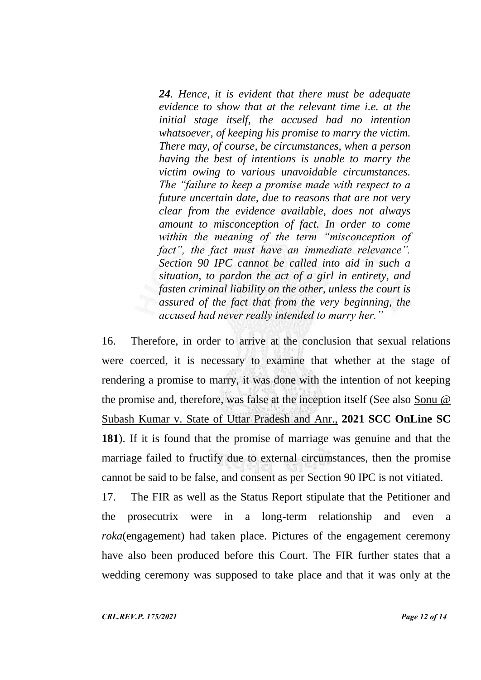*24. Hence, it is evident that there must be adequate evidence to show that at the relevant time i.e. at the initial stage itself, the accused had no intention whatsoever, of keeping his promise to marry the victim. There may, of course, be circumstances, when a person having the best of intentions is unable to marry the victim owing to various unavoidable circumstances. The "failure to keep a promise made with respect to a future uncertain date, due to reasons that are not very clear from the evidence available, does not always amount to misconception of fact. In order to come within the meaning of the term "misconception of fact", the fact must have an immediate relevance". Section 90 IPC cannot be called into aid in such a situation, to pardon the act of a girl in entirety, and fasten criminal liability on the other, unless the court is assured of the fact that from the very beginning, the accused had never really intended to marry her."*

16. Therefore, in order to arrive at the conclusion that sexual relations were coerced, it is necessary to examine that whether at the stage of rendering a promise to marry, it was done with the intention of not keeping the promise and, therefore, was false at the inception itself (See also Sonu @ Subash Kumar v. State of Uttar Pradesh and Anr., **2021 SCC OnLine SC 181**). If it is found that the promise of marriage was genuine and that the marriage failed to fructify due to external circumstances, then the promise cannot be said to be false, and consent as per Section 90 IPC is not vitiated.

17. The FIR as well as the Status Report stipulate that the Petitioner and the prosecutrix were in a long-term relationship and even a *roka*(engagement) had taken place. Pictures of the engagement ceremony have also been produced before this Court. The FIR further states that a wedding ceremony was supposed to take place and that it was only at the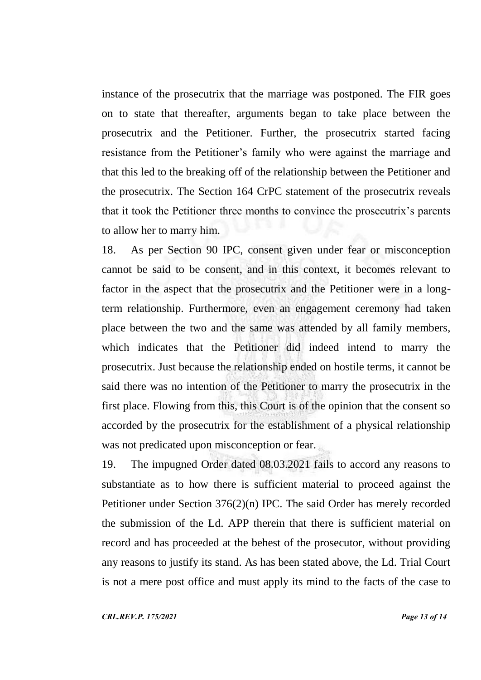instance of the prosecutrix that the marriage was postponed. The FIR goes on to state that thereafter, arguments began to take place between the prosecutrix and the Petitioner. Further, the prosecutrix started facing resistance from the Petitioner's family who were against the marriage and that this led to the breaking off of the relationship between the Petitioner and the prosecutrix. The Section 164 CrPC statement of the prosecutrix reveals that it took the Petitioner three months to convince the prosecutrix's parents to allow her to marry him.

18. As per Section 90 IPC, consent given under fear or misconception cannot be said to be consent, and in this context, it becomes relevant to factor in the aspect that the prosecutrix and the Petitioner were in a longterm relationship. Furthermore, even an engagement ceremony had taken place between the two and the same was attended by all family members, which indicates that the Petitioner did indeed intend to marry the prosecutrix. Just because the relationship ended on hostile terms, it cannot be said there was no intention of the Petitioner to marry the prosecutrix in the first place. Flowing from this, this Court is of the opinion that the consent so accorded by the prosecutrix for the establishment of a physical relationship was not predicated upon misconception or fear.

19. The impugned Order dated 08.03.2021 fails to accord any reasons to substantiate as to how there is sufficient material to proceed against the Petitioner under Section 376(2)(n) IPC. The said Order has merely recorded the submission of the Ld. APP therein that there is sufficient material on record and has proceeded at the behest of the prosecutor, without providing any reasons to justify its stand. As has been stated above, the Ld. Trial Court is not a mere post office and must apply its mind to the facts of the case to